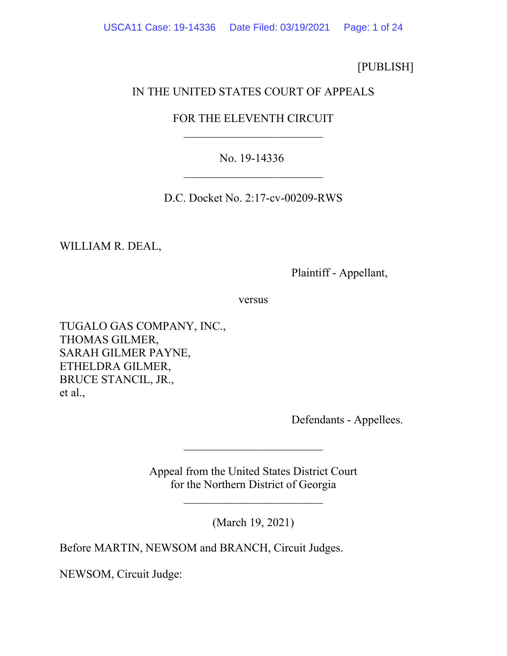[PUBLISH]

# IN THE UNITED STATES COURT OF APPEALS

# FOR THE ELEVENTH CIRCUIT  $\overline{\phantom{a}}$

## No. 19-14336  $\overline{\phantom{a}}$

D.C. Docket No. 2:17-cv-00209-RWS

WILLIAM R. DEAL,

Plaintiff - Appellant,

versus

TUGALO GAS COMPANY, INC., THOMAS GILMER, SARAH GILMER PAYNE, ETHELDRA GILMER, BRUCE STANCIL, JR., et al.,

Defendants - Appellees.

Appeal from the United States District Court for the Northern District of Georgia

\_\_\_\_\_\_\_\_\_\_\_\_\_\_\_\_\_\_\_\_\_\_\_\_

\_\_\_\_\_\_\_\_\_\_\_\_\_\_\_\_\_\_\_\_\_\_\_\_

(March 19, 2021)

Before MARTIN, NEWSOM and BRANCH, Circuit Judges.

NEWSOM, Circuit Judge: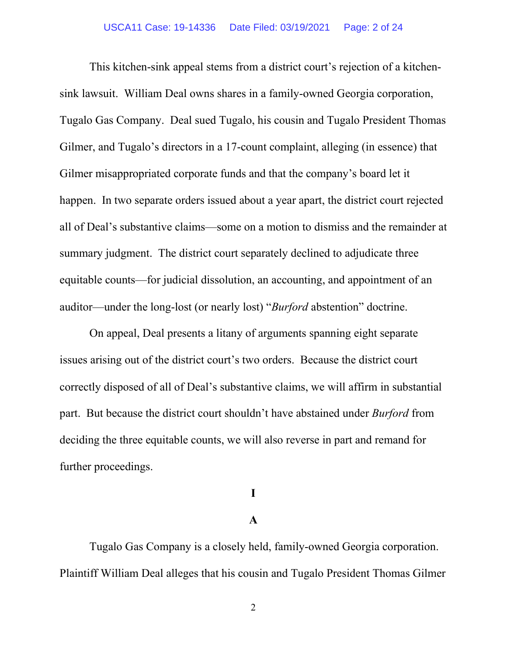This kitchen-sink appeal stems from a district court's rejection of a kitchensink lawsuit. William Deal owns shares in a family-owned Georgia corporation, Tugalo Gas Company. Deal sued Tugalo, his cousin and Tugalo President Thomas Gilmer, and Tugalo's directors in a 17-count complaint, alleging (in essence) that Gilmer misappropriated corporate funds and that the company's board let it happen. In two separate orders issued about a year apart, the district court rejected all of Deal's substantive claims—some on a motion to dismiss and the remainder at summary judgment. The district court separately declined to adjudicate three equitable counts—for judicial dissolution, an accounting, and appointment of an auditor—under the long-lost (or nearly lost) "*Burford* abstention" doctrine.

On appeal, Deal presents a litany of arguments spanning eight separate issues arising out of the district court's two orders. Because the district court correctly disposed of all of Deal's substantive claims, we will affirm in substantial part. But because the district court shouldn't have abstained under *Burford* from deciding the three equitable counts, we will also reverse in part and remand for further proceedings.

## **I**

### **A**

Tugalo Gas Company is a closely held, family-owned Georgia corporation. Plaintiff William Deal alleges that his cousin and Tugalo President Thomas Gilmer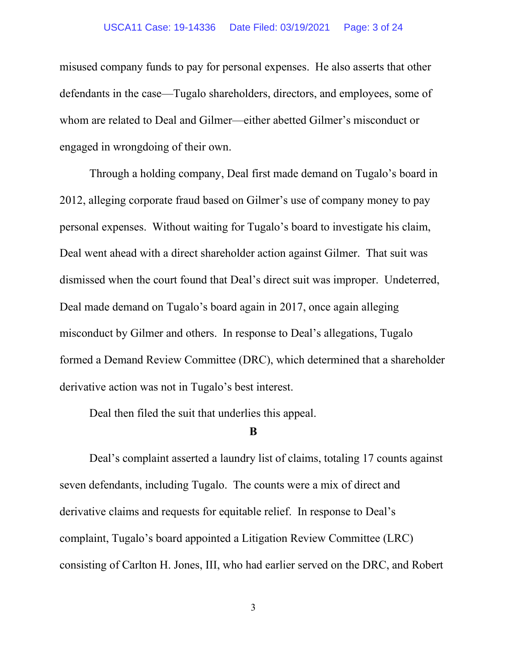#### USCA11 Case: 19-14336 Date Filed: 03/19/2021 Page: 3 of 24

misused company funds to pay for personal expenses. He also asserts that other defendants in the case—Tugalo shareholders, directors, and employees, some of whom are related to Deal and Gilmer—either abetted Gilmer's misconduct or engaged in wrongdoing of their own.

Through a holding company, Deal first made demand on Tugalo's board in 2012, alleging corporate fraud based on Gilmer's use of company money to pay personal expenses. Without waiting for Tugalo's board to investigate his claim, Deal went ahead with a direct shareholder action against Gilmer. That suit was dismissed when the court found that Deal's direct suit was improper. Undeterred, Deal made demand on Tugalo's board again in 2017, once again alleging misconduct by Gilmer and others. In response to Deal's allegations, Tugalo formed a Demand Review Committee (DRC), which determined that a shareholder derivative action was not in Tugalo's best interest.

Deal then filed the suit that underlies this appeal.

#### **B**

Deal's complaint asserted a laundry list of claims, totaling 17 counts against seven defendants, including Tugalo. The counts were a mix of direct and derivative claims and requests for equitable relief. In response to Deal's complaint, Tugalo's board appointed a Litigation Review Committee (LRC) consisting of Carlton H. Jones, III, who had earlier served on the DRC, and Robert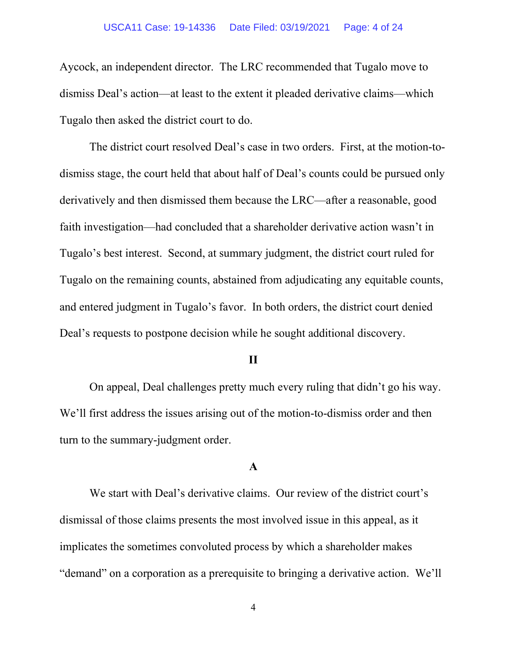#### USCA11 Case: 19-14336 Date Filed: 03/19/2021 Page: 4 of 24

Aycock, an independent director. The LRC recommended that Tugalo move to dismiss Deal's action—at least to the extent it pleaded derivative claims—which Tugalo then asked the district court to do.

The district court resolved Deal's case in two orders. First, at the motion-todismiss stage, the court held that about half of Deal's counts could be pursued only derivatively and then dismissed them because the LRC—after a reasonable, good faith investigation—had concluded that a shareholder derivative action wasn't in Tugalo's best interest. Second, at summary judgment, the district court ruled for Tugalo on the remaining counts, abstained from adjudicating any equitable counts, and entered judgment in Tugalo's favor. In both orders, the district court denied Deal's requests to postpone decision while he sought additional discovery.

#### **II**

On appeal, Deal challenges pretty much every ruling that didn't go his way. We'll first address the issues arising out of the motion-to-dismiss order and then turn to the summary-judgment order.

### **A**

We start with Deal's derivative claims. Our review of the district court's dismissal of those claims presents the most involved issue in this appeal, as it implicates the sometimes convoluted process by which a shareholder makes "demand" on a corporation as a prerequisite to bringing a derivative action. We'll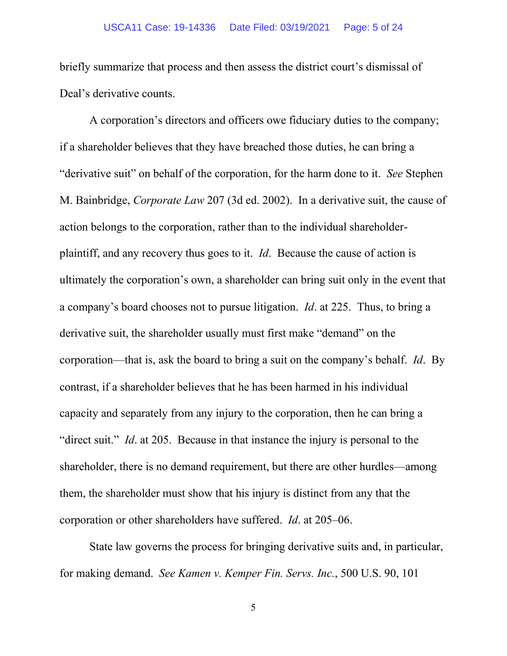#### USCA11 Case: 19-14336 Date Filed: 03/19/2021 Page: 5 of 24

briefly summarize that process and then assess the district court's dismissal of Deal's derivative counts.

A corporation's directors and officers owe fiduciary duties to the company; if a shareholder believes that they have breached those duties, he can bring a "derivative suit" on behalf of the corporation, for the harm done to it. *See* Stephen M. Bainbridge, *Corporate Law* 207 (3d ed. 2002). In a derivative suit, the cause of action belongs to the corporation, rather than to the individual shareholderplaintiff, and any recovery thus goes to it. *Id*. Because the cause of action is ultimately the corporation's own, a shareholder can bring suit only in the event that a company's board chooses not to pursue litigation. *Id*. at 225. Thus, to bring a derivative suit, the shareholder usually must first make "demand" on the corporation—that is, ask the board to bring a suit on the company's behalf. *Id*. By contrast, if a shareholder believes that he has been harmed in his individual capacity and separately from any injury to the corporation, then he can bring a "direct suit." *Id*. at 205. Because in that instance the injury is personal to the shareholder, there is no demand requirement, but there are other hurdles—among them, the shareholder must show that his injury is distinct from any that the corporation or other shareholders have suffered. *Id*. at 205–06.

State law governs the process for bringing derivative suits and, in particular, for making demand. *See Kamen v. Kemper Fin. Servs. Inc.*, 500 U.S. 90, 101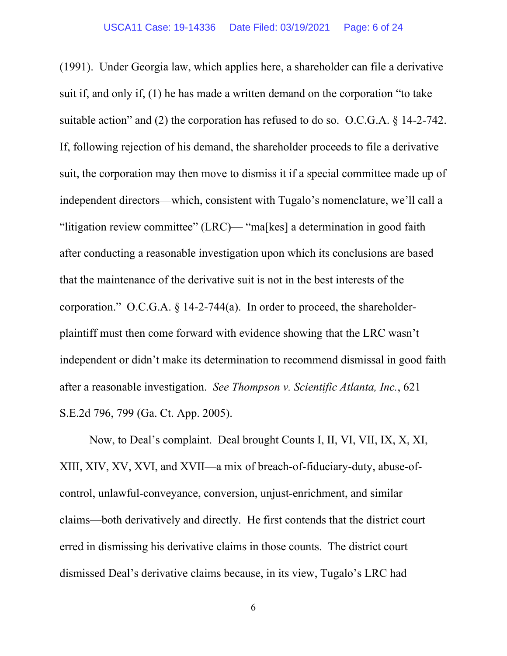(1991). Under Georgia law, which applies here, a shareholder can file a derivative suit if, and only if, (1) he has made a written demand on the corporation "to take suitable action" and (2) the corporation has refused to do so. O.C.G.A. § 14-2-742. If, following rejection of his demand, the shareholder proceeds to file a derivative suit, the corporation may then move to dismiss it if a special committee made up of independent directors—which, consistent with Tugalo's nomenclature, we'll call a "litigation review committee" (LRC)— "ma[kes] a determination in good faith after conducting a reasonable investigation upon which its conclusions are based that the maintenance of the derivative suit is not in the best interests of the corporation." O.C.G.A. § 14-2-744(a). In order to proceed, the shareholderplaintiff must then come forward with evidence showing that the LRC wasn't independent or didn't make its determination to recommend dismissal in good faith after a reasonable investigation. *See Thompson v. Scientific Atlanta, Inc.*, 621 S.E.2d 796, 799 (Ga. Ct. App. 2005).

Now, to Deal's complaint. Deal brought Counts I, II, VI, VII, IX, X, XI, XIII, XIV, XV, XVI, and XVII—a mix of breach-of-fiduciary-duty, abuse-ofcontrol, unlawful-conveyance, conversion, unjust-enrichment, and similar claims—both derivatively and directly. He first contends that the district court erred in dismissing his derivative claims in those counts. The district court dismissed Deal's derivative claims because, in its view, Tugalo's LRC had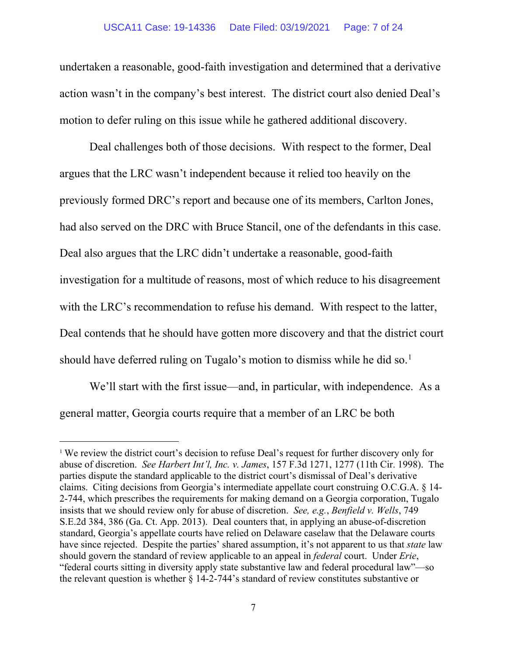#### USCA11 Case: 19-14336 Date Filed: 03/19/2021 Page: 7 of 24

undertaken a reasonable, good-faith investigation and determined that a derivative action wasn't in the company's best interest. The district court also denied Deal's motion to defer ruling on this issue while he gathered additional discovery.

Deal challenges both of those decisions. With respect to the former, Deal argues that the LRC wasn't independent because it relied too heavily on the previously formed DRC's report and because one of its members, Carlton Jones, had also served on the DRC with Bruce Stancil, one of the defendants in this case. Deal also argues that the LRC didn't undertake a reasonable, good-faith investigation for a multitude of reasons, most of which reduce to his disagreement with the LRC's recommendation to refuse his demand. With respect to the latter, Deal contends that he should have gotten more discovery and that the district court should have deferred ruling on Tugalo's motion to dismiss while he did so.<sup>[1](#page-6-0)</sup>

We'll start with the first issue—and, in particular, with independence. As a general matter, Georgia courts require that a member of an LRC be both

<span id="page-6-0"></span><sup>&</sup>lt;sup>1</sup> We review the district court's decision to refuse Deal's request for further discovery only for abuse of discretion. *See Harbert Int'l, Inc. v. James*, 157 F.3d 1271, 1277 (11th Cir. 1998). The parties dispute the standard applicable to the district court's dismissal of Deal's derivative claims. Citing decisions from Georgia's intermediate appellate court construing O.C.G.A. § 14- 2-744, which prescribes the requirements for making demand on a Georgia corporation, Tugalo insists that we should review only for abuse of discretion. *See, e.g.*, *Benfield v. Wells*, 749 S.E.2d 384, 386 (Ga. Ct. App. 2013). Deal counters that, in applying an abuse-of-discretion standard, Georgia's appellate courts have relied on Delaware caselaw that the Delaware courts have since rejected. Despite the parties' shared assumption, it's not apparent to us that *state* law should govern the standard of review applicable to an appeal in *federal* court. Under *Erie*, "federal courts sitting in diversity apply state substantive law and federal procedural law"—so the relevant question is whether § 14-2-744's standard of review constitutes substantive or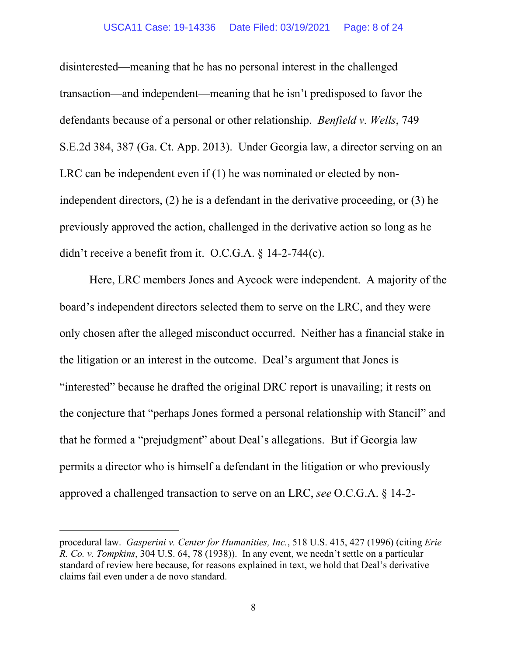#### USCA11 Case: 19-14336 Date Filed: 03/19/2021 Page: 8 of 24

disinterested—meaning that he has no personal interest in the challenged transaction—and independent—meaning that he isn't predisposed to favor the defendants because of a personal or other relationship. *Benfield v. Wells*, 749 S.E.2d 384, 387 (Ga. Ct. App. 2013). Under Georgia law, a director serving on an LRC can be independent even if (1) he was nominated or elected by nonindependent directors, (2) he is a defendant in the derivative proceeding, or (3) he previously approved the action, challenged in the derivative action so long as he didn't receive a benefit from it. O.C.G.A. § 14-2-744(c).

Here, LRC members Jones and Aycock were independent. A majority of the board's independent directors selected them to serve on the LRC, and they were only chosen after the alleged misconduct occurred. Neither has a financial stake in the litigation or an interest in the outcome. Deal's argument that Jones is "interested" because he drafted the original DRC report is unavailing; it rests on the conjecture that "perhaps Jones formed a personal relationship with Stancil" and that he formed a "prejudgment" about Deal's allegations. But if Georgia law permits a director who is himself a defendant in the litigation or who previously approved a challenged transaction to serve on an LRC, *see* O.C.G.A. § 14-2-

procedural law. *Gasperini v. Center for Humanities, Inc.*, 518 U.S. 415, 427 (1996) (citing *Erie R. Co. v. Tompkins*, 304 U.S. 64, 78 (1938)).In any event, we needn't settle on a particular standard of review here because, for reasons explained in text, we hold that Deal's derivative claims fail even under a de novo standard.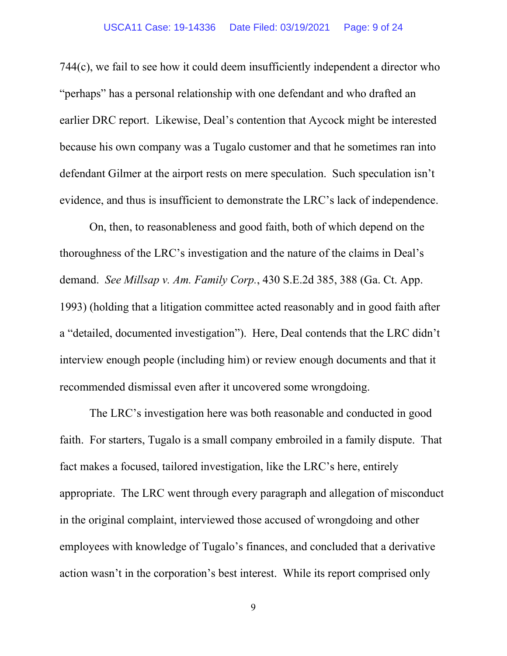744(c), we fail to see how it could deem insufficiently independent a director who "perhaps" has a personal relationship with one defendant and who drafted an earlier DRC report. Likewise, Deal's contention that Aycock might be interested because his own company was a Tugalo customer and that he sometimes ran into defendant Gilmer at the airport rests on mere speculation. Such speculation isn't evidence, and thus is insufficient to demonstrate the LRC's lack of independence.

On, then, to reasonableness and good faith, both of which depend on the thoroughness of the LRC's investigation and the nature of the claims in Deal's demand. *See Millsap v. Am. Family Corp.*, 430 S.E.2d 385, 388 (Ga. Ct. App. 1993) (holding that a litigation committee acted reasonably and in good faith after a "detailed, documented investigation"). Here, Deal contends that the LRC didn't interview enough people (including him) or review enough documents and that it recommended dismissal even after it uncovered some wrongdoing.

The LRC's investigation here was both reasonable and conducted in good faith. For starters, Tugalo is a small company embroiled in a family dispute. That fact makes a focused, tailored investigation, like the LRC's here, entirely appropriate. The LRC went through every paragraph and allegation of misconduct in the original complaint, interviewed those accused of wrongdoing and other employees with knowledge of Tugalo's finances, and concluded that a derivative action wasn't in the corporation's best interest. While its report comprised only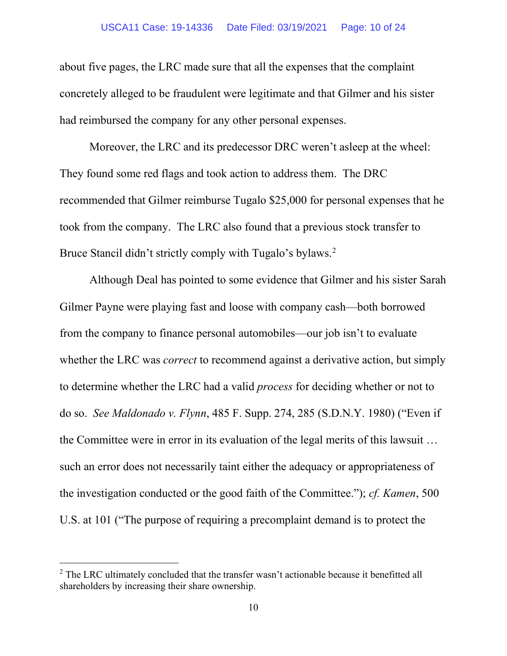about five pages, the LRC made sure that all the expenses that the complaint concretely alleged to be fraudulent were legitimate and that Gilmer and his sister had reimbursed the company for any other personal expenses.

Moreover, the LRC and its predecessor DRC weren't asleep at the wheel: They found some red flags and took action to address them. The DRC recommended that Gilmer reimburse Tugalo \$25,000 for personal expenses that he took from the company. The LRC also found that a previous stock transfer to Bruce Stancil didn't strictly comply with Tugalo's bylaws.<sup>[2](#page-9-0)</sup>

Although Deal has pointed to some evidence that Gilmer and his sister Sarah Gilmer Payne were playing fast and loose with company cash—both borrowed from the company to finance personal automobiles—our job isn't to evaluate whether the LRC was *correct* to recommend against a derivative action, but simply to determine whether the LRC had a valid *process* for deciding whether or not to do so. *See Maldonado v. Flynn*, 485 F. Supp. 274, 285 (S.D.N.Y. 1980) ("Even if the Committee were in error in its evaluation of the legal merits of this lawsuit … such an error does not necessarily taint either the adequacy or appropriateness of the investigation conducted or the good faith of the Committee."); *cf. Kamen*, 500 U.S. at 101 ("The purpose of requiring a precomplaint demand is to protect the

<span id="page-9-0"></span> $2$  The LRC ultimately concluded that the transfer wasn't actionable because it benefitted all shareholders by increasing their share ownership.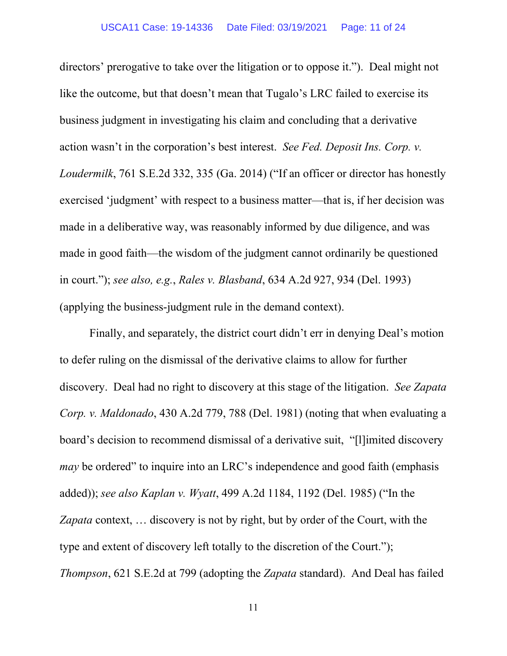directors' prerogative to take over the litigation or to oppose it."). Deal might not like the outcome, but that doesn't mean that Tugalo's LRC failed to exercise its business judgment in investigating his claim and concluding that a derivative action wasn't in the corporation's best interest. *See Fed. Deposit Ins. Corp. v. Loudermilk*, 761 S.E.2d 332, 335 (Ga. 2014) ("If an officer or director has honestly exercised 'judgment' with respect to a business matter—that is, if her decision was made in a deliberative way, was reasonably informed by due diligence, and was made in good faith—the wisdom of the judgment cannot ordinarily be questioned in court."); *see also, e.g.*, *Rales v. Blasband*, 634 A.2d 927, 934 (Del. 1993) (applying the business-judgment rule in the demand context).

Finally, and separately, the district court didn't err in denying Deal's motion to defer ruling on the dismissal of the derivative claims to allow for further discovery. Deal had no right to discovery at this stage of the litigation. *See Zapata Corp. v. Maldonado*, 430 A.2d 779, 788 (Del. 1981) (noting that when evaluating a board's decision to recommend dismissal of a derivative suit, "[l]imited discovery *may* be ordered" to inquire into an LRC's independence and good faith (emphasis added)); *see also Kaplan v. Wyatt*, 499 A.2d 1184, 1192 (Del. 1985) ("In the *Zapata* context, … discovery is not by right, but by order of the Court, with the type and extent of discovery left totally to the discretion of the Court."); *Thompson*, 621 S.E.2d at 799 (adopting the *Zapata* standard). And Deal has failed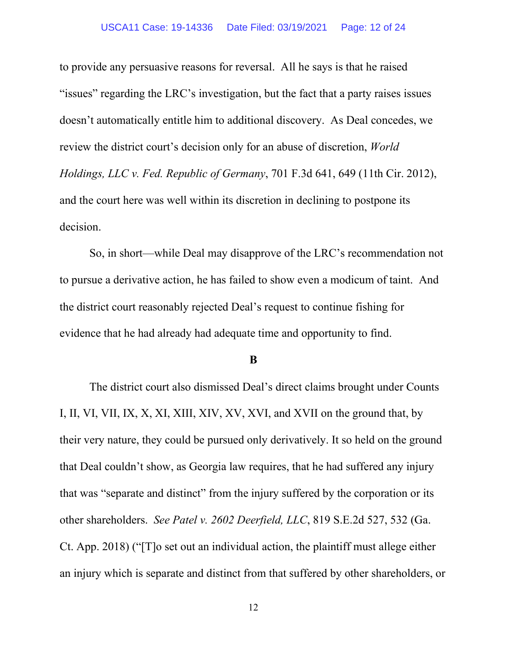to provide any persuasive reasons for reversal. All he says is that he raised "issues" regarding the LRC's investigation, but the fact that a party raises issues doesn't automatically entitle him to additional discovery. As Deal concedes, we review the district court's decision only for an abuse of discretion, *World Holdings, LLC v. Fed. Republic of Germany*, 701 F.3d 641, 649 (11th Cir. 2012), and the court here was well within its discretion in declining to postpone its decision.

So, in short—while Deal may disapprove of the LRC's recommendation not to pursue a derivative action, he has failed to show even a modicum of taint. And the district court reasonably rejected Deal's request to continue fishing for evidence that he had already had adequate time and opportunity to find.

#### **B**

The district court also dismissed Deal's direct claims brought under Counts I, II, VI, VII, IX, X, XI, XIII, XIV, XV, XVI, and XVII on the ground that, by their very nature, they could be pursued only derivatively. It so held on the ground that Deal couldn't show, as Georgia law requires, that he had suffered any injury that was "separate and distinct" from the injury suffered by the corporation or its other shareholders. *See Patel v. 2602 Deerfield, LLC*, 819 S.E.2d 527, 532 (Ga. Ct. App. 2018) ("[T]o set out an individual action, the plaintiff must allege either an injury which is separate and distinct from that suffered by other shareholders, or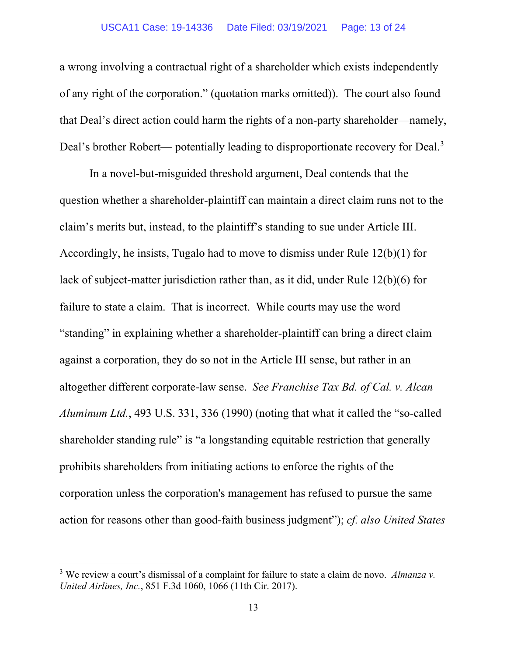a wrong involving a contractual right of a shareholder which exists independently of any right of the corporation." (quotation marks omitted)). The court also found that Deal's direct action could harm the rights of a non-party shareholder—namely, Deal's brother Robert— potentially leading to disproportionate recovery for Deal.<sup>[3](#page-12-0)</sup>

In a novel-but-misguided threshold argument, Deal contends that the question whether a shareholder-plaintiff can maintain a direct claim runs not to the claim's merits but, instead, to the plaintiff's standing to sue under Article III. Accordingly, he insists, Tugalo had to move to dismiss under Rule 12(b)(1) for lack of subject-matter jurisdiction rather than, as it did, under Rule 12(b)(6) for failure to state a claim. That is incorrect. While courts may use the word "standing" in explaining whether a shareholder-plaintiff can bring a direct claim against a corporation, they do so not in the Article III sense, but rather in an altogether different corporate-law sense. *See Franchise Tax Bd. of Cal. v. Alcan Aluminum Ltd.*, 493 U.S. 331, 336 (1990) (noting that what it called the "so-called shareholder standing rule" is "a longstanding equitable restriction that generally prohibits shareholders from initiating actions to enforce the rights of the corporation unless the corporation's management has refused to pursue the same action for reasons other than good-faith business judgment"); *cf. also United States* 

<span id="page-12-0"></span><sup>3</sup> We review a court's dismissal of a complaint for failure to state a claim de novo. *Almanza v. United Airlines, Inc.*, 851 F.3d 1060, 1066 (11th Cir. 2017).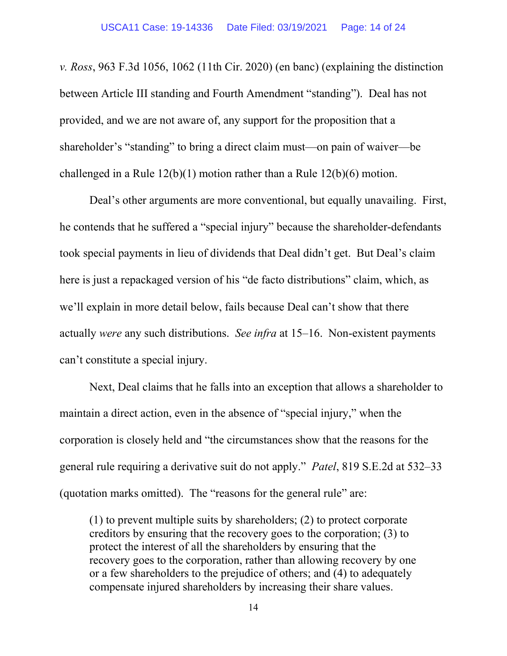*v. Ross*, 963 F.3d 1056, 1062 (11th Cir. 2020) (en banc) (explaining the distinction between Article III standing and Fourth Amendment "standing"). Deal has not provided, and we are not aware of, any support for the proposition that a shareholder's "standing" to bring a direct claim must—on pain of waiver—be challenged in a Rule 12(b)(1) motion rather than a Rule 12(b)(6) motion.

Deal's other arguments are more conventional, but equally unavailing. First, he contends that he suffered a "special injury" because the shareholder-defendants took special payments in lieu of dividends that Deal didn't get. But Deal's claim here is just a repackaged version of his "de facto distributions" claim, which, as we'll explain in more detail below, fails because Deal can't show that there actually *were* any such distributions. *See infra* at 15–16. Non-existent payments can't constitute a special injury.

Next, Deal claims that he falls into an exception that allows a shareholder to maintain a direct action, even in the absence of "special injury," when the corporation is closely held and "the circumstances show that the reasons for the general rule requiring a derivative suit do not apply." *Patel*, 819 S.E.2d at 532–33 (quotation marks omitted). The "reasons for the general rule" are:

(1) to prevent multiple suits by shareholders; (2) to protect corporate creditors by ensuring that the recovery goes to the corporation; (3) to protect the interest of all the shareholders by ensuring that the recovery goes to the corporation, rather than allowing recovery by one or a few shareholders to the prejudice of others; and (4) to adequately compensate injured shareholders by increasing their share values.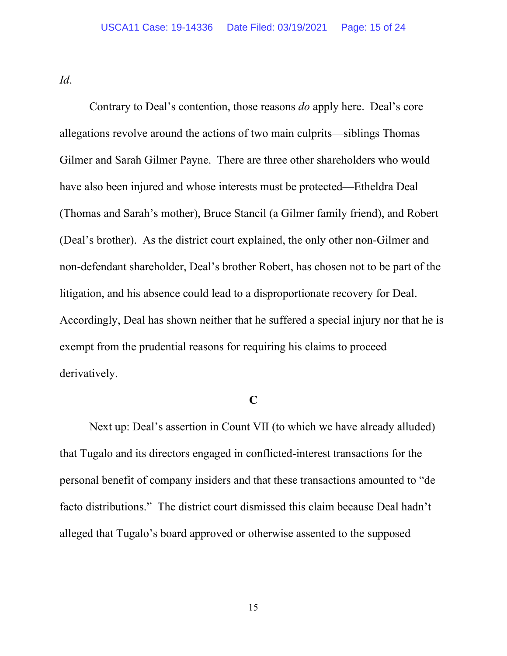*Id*.

Contrary to Deal's contention, those reasons *do* apply here. Deal's core allegations revolve around the actions of two main culprits—siblings Thomas Gilmer and Sarah Gilmer Payne. There are three other shareholders who would have also been injured and whose interests must be protected—Etheldra Deal (Thomas and Sarah's mother), Bruce Stancil (a Gilmer family friend), and Robert (Deal's brother). As the district court explained, the only other non-Gilmer and non-defendant shareholder, Deal's brother Robert, has chosen not to be part of the litigation, and his absence could lead to a disproportionate recovery for Deal. Accordingly, Deal has shown neither that he suffered a special injury nor that he is exempt from the prudential reasons for requiring his claims to proceed derivatively.

## **C**

Next up: Deal's assertion in Count VII (to which we have already alluded) that Tugalo and its directors engaged in conflicted-interest transactions for the personal benefit of company insiders and that these transactions amounted to "de facto distributions." The district court dismissed this claim because Deal hadn't alleged that Tugalo's board approved or otherwise assented to the supposed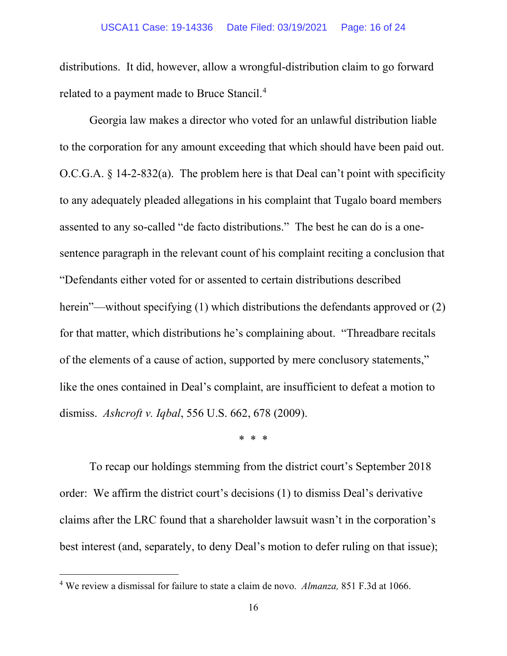distributions. It did, however, allow a wrongful-distribution claim to go forward related to a payment made to Bruce Stancil.<sup>[4](#page-15-0)</sup>

Georgia law makes a director who voted for an unlawful distribution liable to the corporation for any amount exceeding that which should have been paid out. O.C.G.A.  $\S$  14-2-832(a). The problem here is that Deal can't point with specificity to any adequately pleaded allegations in his complaint that Tugalo board members assented to any so-called "de facto distributions." The best he can do is a onesentence paragraph in the relevant count of his complaint reciting a conclusion that "Defendants either voted for or assented to certain distributions described herein"—without specifying (1) which distributions the defendants approved or (2) for that matter, which distributions he's complaining about. "Threadbare recitals of the elements of a cause of action, supported by mere conclusory statements," like the ones contained in Deal's complaint, are insufficient to defeat a motion to dismiss. *Ashcroft v. Iqbal*, 556 U.S. 662, 678 (2009).

\* \* \*

To recap our holdings stemming from the district court's September 2018 order: We affirm the district court's decisions (1) to dismiss Deal's derivative claims after the LRC found that a shareholder lawsuit wasn't in the corporation's best interest (and, separately, to deny Deal's motion to defer ruling on that issue);

<span id="page-15-0"></span><sup>4</sup> We review a dismissal for failure to state a claim de novo. *Almanza,* 851 F.3d at 1066.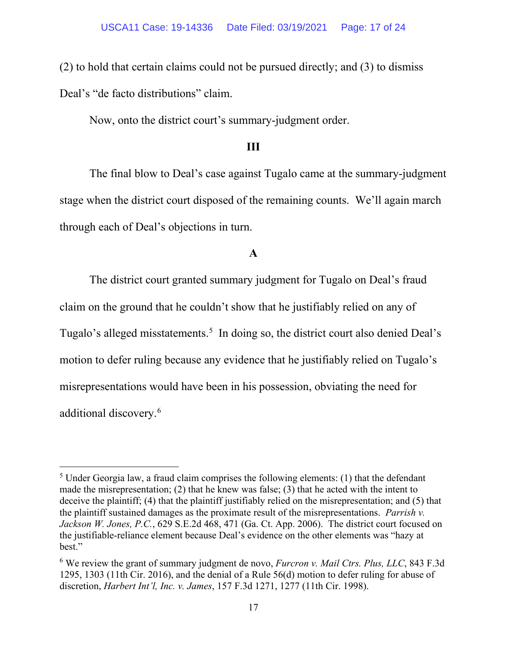(2) to hold that certain claims could not be pursued directly; and (3) to dismiss Deal's "de facto distributions" claim.

Now, onto the district court's summary-judgment order.

## **III**

The final blow to Deal's case against Tugalo came at the summary-judgment stage when the district court disposed of the remaining counts. We'll again march through each of Deal's objections in turn.

### **A**

The district court granted summary judgment for Tugalo on Deal's fraud claim on the ground that he couldn't show that he justifiably relied on any of Tugalo's alleged misstatements.<sup>[5](#page-16-0)</sup> In doing so, the district court also denied Deal's motion to defer ruling because any evidence that he justifiably relied on Tugalo's misrepresentations would have been in his possession, obviating the need for additional discovery.<sup>[6](#page-16-1)</sup>

<span id="page-16-0"></span> $<sup>5</sup>$  Under Georgia law, a fraud claim comprises the following elements: (1) that the defendant</sup> made the misrepresentation; (2) that he knew was false; (3) that he acted with the intent to deceive the plaintiff; (4) that the plaintiff justifiably relied on the misrepresentation; and (5) that the plaintiff sustained damages as the proximate result of the misrepresentations. *Parrish v. Jackson W. Jones, P.C.*, 629 S.E.2d 468, 471 (Ga. Ct. App. 2006). The district court focused on the justifiable-reliance element because Deal's evidence on the other elements was "hazy at best."

<span id="page-16-1"></span><sup>6</sup> We review the grant of summary judgment de novo, *Furcron v. Mail Ctrs. Plus, LLC*, 843 F.3d 1295, 1303 (11th Cir. 2016), and the denial of a Rule 56(d) motion to defer ruling for abuse of discretion, *Harbert Int'l, Inc. v. James*, 157 F.3d 1271, 1277 (11th Cir. 1998).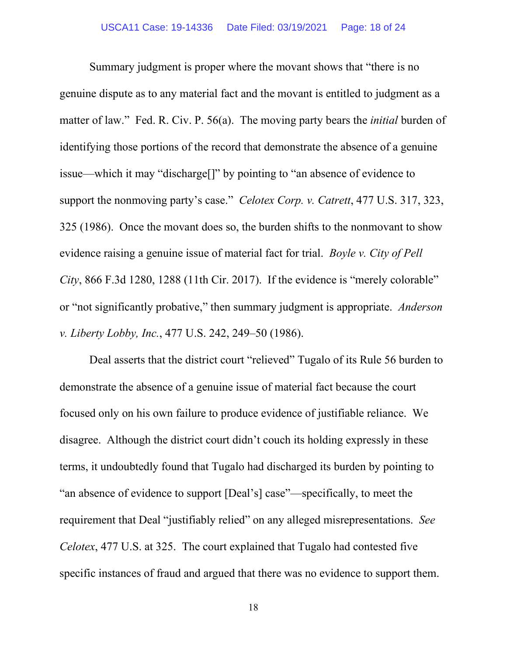Summary judgment is proper where the movant shows that "there is no genuine dispute as to any material fact and the movant is entitled to judgment as a matter of law." Fed. R. Civ. P. 56(a). The moving party bears the *initial* burden of identifying those portions of the record that demonstrate the absence of a genuine issue—which it may "discharge[]" by pointing to "an absence of evidence to support the nonmoving party's case." *Celotex Corp. v. Catrett*, 477 U.S. 317, 323, 325 (1986). Once the movant does so, the burden shifts to the nonmovant to show evidence raising a genuine issue of material fact for trial. *Boyle v. City of Pell City*, 866 F.3d 1280, 1288 (11th Cir. 2017). If the evidence is "merely colorable" or "not significantly probative," then summary judgment is appropriate. *Anderson v. Liberty Lobby, Inc.*, 477 U.S. 242, 249–50 (1986).

Deal asserts that the district court "relieved" Tugalo of its Rule 56 burden to demonstrate the absence of a genuine issue of material fact because the court focused only on his own failure to produce evidence of justifiable reliance. We disagree. Although the district court didn't couch its holding expressly in these terms, it undoubtedly found that Tugalo had discharged its burden by pointing to "an absence of evidence to support [Deal's] case"—specifically, to meet the requirement that Deal "justifiably relied" on any alleged misrepresentations. *See Celotex*, 477 U.S. at 325. The court explained that Tugalo had contested five specific instances of fraud and argued that there was no evidence to support them.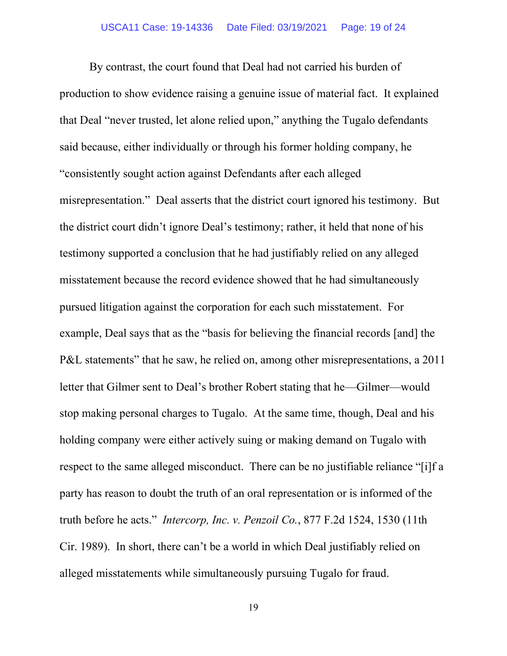By contrast, the court found that Deal had not carried his burden of production to show evidence raising a genuine issue of material fact. It explained that Deal "never trusted, let alone relied upon," anything the Tugalo defendants said because, either individually or through his former holding company, he "consistently sought action against Defendants after each alleged misrepresentation." Deal asserts that the district court ignored his testimony. But the district court didn't ignore Deal's testimony; rather, it held that none of his testimony supported a conclusion that he had justifiably relied on any alleged misstatement because the record evidence showed that he had simultaneously pursued litigation against the corporation for each such misstatement. For example, Deal says that as the "basis for believing the financial records [and] the P&L statements" that he saw, he relied on, among other misrepresentations, a 2011 letter that Gilmer sent to Deal's brother Robert stating that he—Gilmer—would stop making personal charges to Tugalo. At the same time, though, Deal and his holding company were either actively suing or making demand on Tugalo with respect to the same alleged misconduct. There can be no justifiable reliance "[i]f a party has reason to doubt the truth of an oral representation or is informed of the truth before he acts." *Intercorp, Inc. v. Penzoil Co.*, 877 F.2d 1524, 1530 (11th Cir. 1989). In short, there can't be a world in which Deal justifiably relied on alleged misstatements while simultaneously pursuing Tugalo for fraud.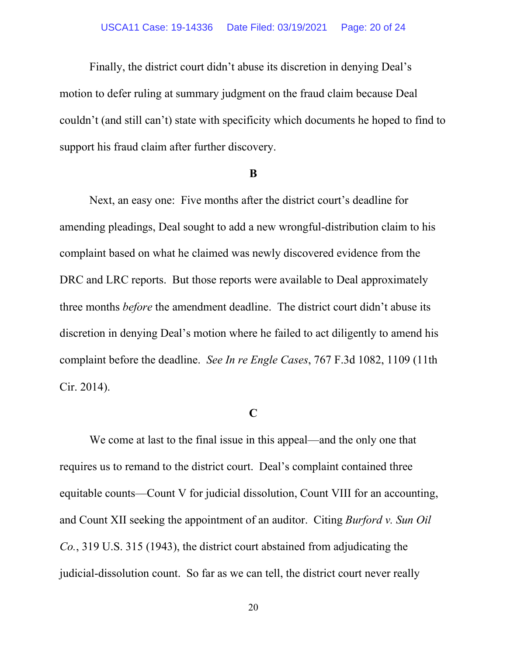Finally, the district court didn't abuse its discretion in denying Deal's motion to defer ruling at summary judgment on the fraud claim because Deal couldn't (and still can't) state with specificity which documents he hoped to find to support his fraud claim after further discovery.

#### **B**

Next, an easy one: Five months after the district court's deadline for amending pleadings, Deal sought to add a new wrongful-distribution claim to his complaint based on what he claimed was newly discovered evidence from the DRC and LRC reports. But those reports were available to Deal approximately three months *before* the amendment deadline. The district court didn't abuse its discretion in denying Deal's motion where he failed to act diligently to amend his complaint before the deadline. *See In re Engle Cases*, 767 F.3d 1082, 1109 (11th Cir. 2014).

### **C**

We come at last to the final issue in this appeal—and the only one that requires us to remand to the district court. Deal's complaint contained three equitable counts—Count V for judicial dissolution, Count VIII for an accounting, and Count XII seeking the appointment of an auditor. Citing *Burford v. Sun Oil Co.*, 319 U.S. 315 (1943), the district court abstained from adjudicating the judicial-dissolution count. So far as we can tell, the district court never really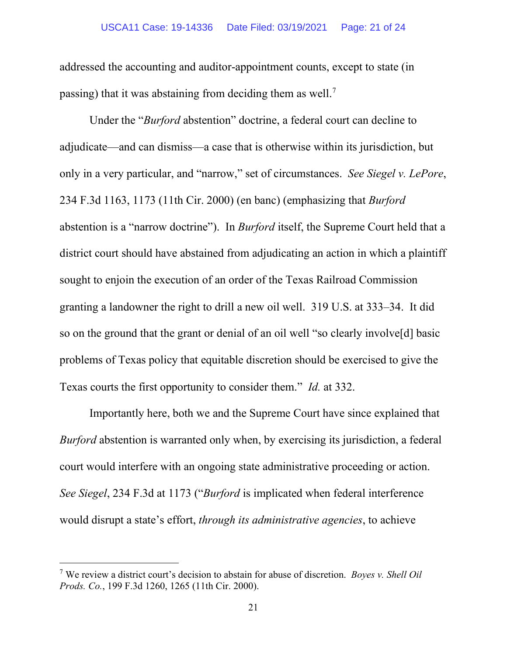addressed the accounting and auditor-appointment counts, except to state (in passing) that it was abstaining from deciding them as well.<sup>[7](#page-20-0)</sup>

Under the "*Burford* abstention" doctrine, a federal court can decline to adjudicate—and can dismiss—a case that is otherwise within its jurisdiction, but only in a very particular, and "narrow," set of circumstances. *See Siegel v. LePore*, 234 F.3d 1163, 1173 (11th Cir. 2000) (en banc) (emphasizing that *Burford* abstention is a "narrow doctrine"). In *Burford* itself, the Supreme Court held that a district court should have abstained from adjudicating an action in which a plaintiff sought to enjoin the execution of an order of the Texas Railroad Commission granting a landowner the right to drill a new oil well. 319 U.S. at 333–34. It did so on the ground that the grant or denial of an oil well "so clearly involve[d] basic problems of Texas policy that equitable discretion should be exercised to give the Texas courts the first opportunity to consider them." *Id.* at 332.

Importantly here, both we and the Supreme Court have since explained that *Burford* abstention is warranted only when, by exercising its jurisdiction, a federal court would interfere with an ongoing state administrative proceeding or action. *See Siegel*, 234 F.3d at 1173 ("*Burford* is implicated when federal interference would disrupt a state's effort, *through its administrative agencies*, to achieve

<span id="page-20-0"></span><sup>7</sup> We review a district court's decision to abstain for abuse of discretion. *Boyes v. Shell Oil Prods. Co.*, 199 F.3d 1260, 1265 (11th Cir. 2000).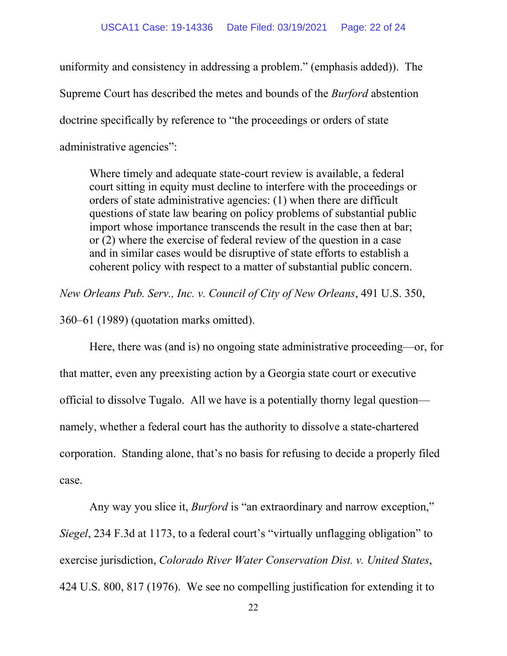uniformity and consistency in addressing a problem." (emphasis added)). The Supreme Court has described the metes and bounds of the *Burford* abstention doctrine specifically by reference to "the proceedings or orders of state administrative agencies":

Where timely and adequate state-court review is available, a federal court sitting in equity must decline to interfere with the proceedings or orders of state administrative agencies: (1) when there are difficult questions of state law bearing on policy problems of substantial public import whose importance transcends the result in the case then at bar; or (2) where the exercise of federal review of the question in a case and in similar cases would be disruptive of state efforts to establish a coherent policy with respect to a matter of substantial public concern.

*New Orleans Pub. Serv., Inc. v. Council of City of New Orleans*, 491 U.S. 350,

360–61 (1989) (quotation marks omitted).

Here, there was (and is) no ongoing state administrative proceeding—or, for that matter, even any preexisting action by a Georgia state court or executive official to dissolve Tugalo. All we have is a potentially thorny legal question namely, whether a federal court has the authority to dissolve a state-chartered corporation. Standing alone, that's no basis for refusing to decide a properly filed case.

Any way you slice it, *Burford* is "an extraordinary and narrow exception," *Siegel*, 234 F.3d at 1173, to a federal court's "virtually unflagging obligation" to exercise jurisdiction, *Colorado River Water Conservation Dist. v. United States*, 424 U.S. 800, 817 (1976). We see no compelling justification for extending it to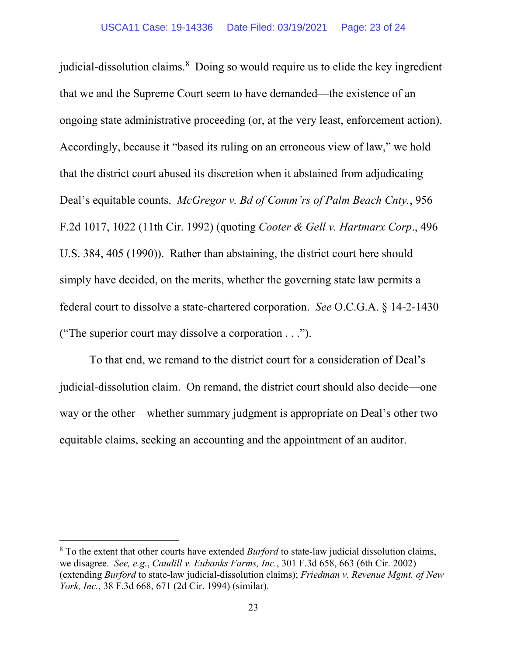judicial-dissolution claims.<sup>[8](#page-22-0)</sup> Doing so would require us to elide the key ingredient that we and the Supreme Court seem to have demanded—the existence of an ongoing state administrative proceeding (or, at the very least, enforcement action). Accordingly, because it "based its ruling on an erroneous view of law," we hold that the district court abused its discretion when it abstained from adjudicating Deal's equitable counts. *McGregor v. Bd of Comm'rs of Palm Beach Cnty.*, 956 F.2d 1017, 1022 (11th Cir. 1992) (quoting *Cooter & Gell v. Hartmarx Corp*., 496 U.S. 384, 405 (1990)). Rather than abstaining, the district court here should simply have decided, on the merits, whether the governing state law permits a federal court to dissolve a state-chartered corporation. *See* O.C.G.A. § 14-2-1430 ("The superior court may dissolve a corporation . . .").

To that end, we remand to the district court for a consideration of Deal's judicial-dissolution claim. On remand, the district court should also decide—one way or the other—whether summary judgment is appropriate on Deal's other two equitable claims, seeking an accounting and the appointment of an auditor.

<span id="page-22-0"></span><sup>8</sup> To the extent that other courts have extended *Burford* to state-law judicial dissolution claims, we disagree. *See, e.g.*, *Caudill v. Eubanks Farms, Inc.*, 301 F.3d 658, 663 (6th Cir. 2002) (extending *Burford* to state-law judicial-dissolution claims); *Friedman v. Revenue Mgmt. of New York, Inc.*, 38 F.3d 668, 671 (2d Cir. 1994) (similar).